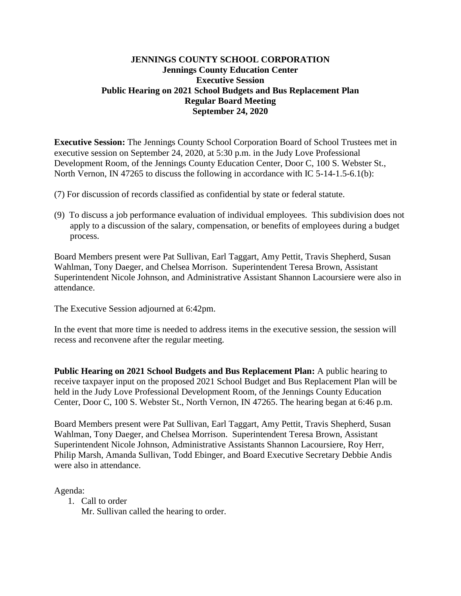### **JENNINGS COUNTY SCHOOL CORPORATION Jennings County Education Center Executive Session Public Hearing on 2021 School Budgets and Bus Replacement Plan Regular Board Meeting September 24, 2020**

**Executive Session:** The Jennings County School Corporation Board of School Trustees met in executive session on September 24, 2020, at 5:30 p.m. in the Judy Love Professional Development Room, of the Jennings County Education Center, Door C, 100 S. Webster St., North Vernon, IN 47265 to discuss the following in accordance with IC 5-14-1.5-6.1(b):

- (7) For discussion of records classified as confidential by state or federal statute.
- (9) To discuss a job performance evaluation of individual employees. This subdivision does not apply to a discussion of the salary, compensation, or benefits of employees during a budget process.

Board Members present were Pat Sullivan, Earl Taggart, Amy Pettit, Travis Shepherd, Susan Wahlman, Tony Daeger, and Chelsea Morrison. Superintendent Teresa Brown, Assistant Superintendent Nicole Johnson, and Administrative Assistant Shannon Lacoursiere were also in attendance.

The Executive Session adjourned at 6:42pm.

In the event that more time is needed to address items in the executive session, the session will recess and reconvene after the regular meeting.

**Public Hearing on 2021 School Budgets and Bus Replacement Plan:** A public hearing to receive taxpayer input on the proposed 2021 School Budget and Bus Replacement Plan will be held in the Judy Love Professional Development Room, of the Jennings County Education Center, Door C, 100 S. Webster St., North Vernon, IN 47265. The hearing began at 6:46 p.m.

Board Members present were Pat Sullivan, Earl Taggart, Amy Pettit, Travis Shepherd, Susan Wahlman, Tony Daeger, and Chelsea Morrison. Superintendent Teresa Brown, Assistant Superintendent Nicole Johnson, Administrative Assistants Shannon Lacoursiere, Roy Herr, Philip Marsh, Amanda Sullivan, Todd Ebinger, and Board Executive Secretary Debbie Andis were also in attendance.

Agenda:

1. Call to order

Mr. Sullivan called the hearing to order.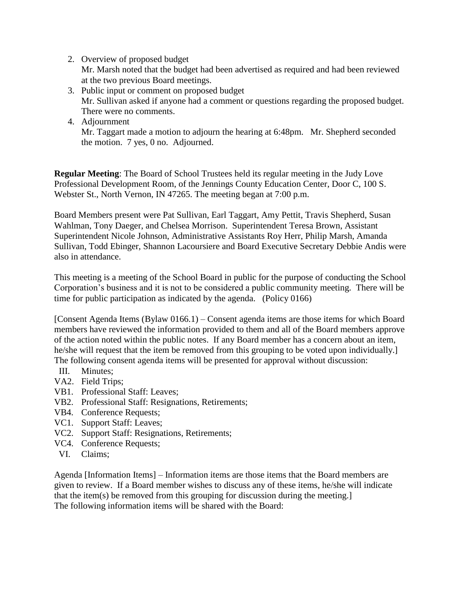2. Overview of proposed budget

Mr. Marsh noted that the budget had been advertised as required and had been reviewed at the two previous Board meetings.

- 3. Public input or comment on proposed budget Mr. Sullivan asked if anyone had a comment or questions regarding the proposed budget. There were no comments.
- 4. Adjournment Mr. Taggart made a motion to adjourn the hearing at 6:48pm. Mr. Shepherd seconded the motion. 7 yes, 0 no. Adjourned.

**Regular Meeting**: The Board of School Trustees held its regular meeting in the Judy Love Professional Development Room, of the Jennings County Education Center, Door C, 100 S. Webster St., North Vernon, IN 47265. The meeting began at 7:00 p.m.

Board Members present were Pat Sullivan, Earl Taggart, Amy Pettit, Travis Shepherd, Susan Wahlman, Tony Daeger, and Chelsea Morrison. Superintendent Teresa Brown, Assistant Superintendent Nicole Johnson, Administrative Assistants Roy Herr, Philip Marsh, Amanda Sullivan, Todd Ebinger, Shannon Lacoursiere and Board Executive Secretary Debbie Andis were also in attendance.

This meeting is a meeting of the School Board in public for the purpose of conducting the School Corporation's business and it is not to be considered a public community meeting. There will be time for public participation as indicated by the agenda. (Policy 0166)

[Consent Agenda Items (Bylaw 0166.1) – Consent agenda items are those items for which Board members have reviewed the information provided to them and all of the Board members approve of the action noted within the public notes. If any Board member has a concern about an item, he/she will request that the item be removed from this grouping to be voted upon individually.] The following consent agenda items will be presented for approval without discussion:

- III. Minutes;
- VA2. Field Trips;
- VB1. Professional Staff: Leaves;
- VB2. Professional Staff: Resignations, Retirements;
- VB4. Conference Requests;
- VC1. Support Staff: Leaves;
- VC2. Support Staff: Resignations, Retirements;
- VC4. Conference Requests;
- VI. Claims;

Agenda [Information Items] – Information items are those items that the Board members are given to review. If a Board member wishes to discuss any of these items, he/she will indicate that the item(s) be removed from this grouping for discussion during the meeting.] The following information items will be shared with the Board: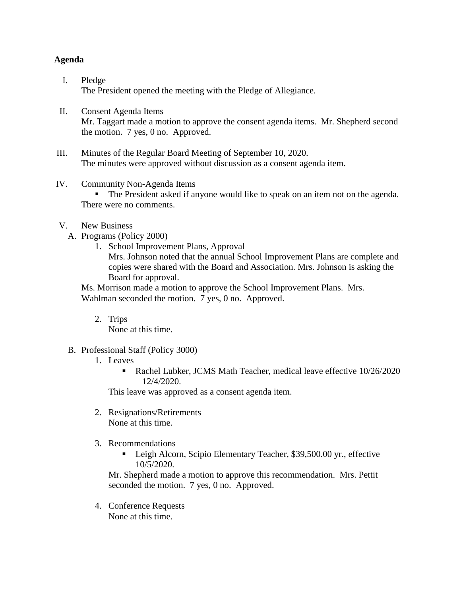#### **Agenda**

- I. Pledge The President opened the meeting with the Pledge of Allegiance.
- II. Consent Agenda Items Mr. Taggart made a motion to approve the consent agenda items. Mr. Shepherd second the motion. 7 yes, 0 no. Approved.
- III. Minutes of the Regular Board Meeting of September 10, 2020. The minutes were approved without discussion as a consent agenda item.
- IV. Community Non-Agenda Items

The President asked if anyone would like to speak on an item not on the agenda. There were no comments.

- V. New Business
	- A. Programs (Policy 2000)
		- 1. School Improvement Plans, Approval Mrs. Johnson noted that the annual School Improvement Plans are complete and copies were shared with the Board and Association. Mrs. Johnson is asking the Board for approval.

Ms. Morrison made a motion to approve the School Improvement Plans. Mrs. Wahlman seconded the motion. 7 yes, 0 no. Approved.

2. Trips

None at this time.

# B. Professional Staff (Policy 3000)

- 1. Leaves
	- Rachel Lubker, JCMS Math Teacher, medical leave effective 10/26/2020  $-12/4/2020$ .

This leave was approved as a consent agenda item.

- 2. Resignations/Retirements None at this time.
- 3. Recommendations
	- Leigh Alcorn, Scipio Elementary Teacher, \$39,500.00 yr., effective 10/5/2020.

Mr. Shepherd made a motion to approve this recommendation. Mrs. Pettit seconded the motion. 7 yes, 0 no. Approved.

4. Conference Requests None at this time.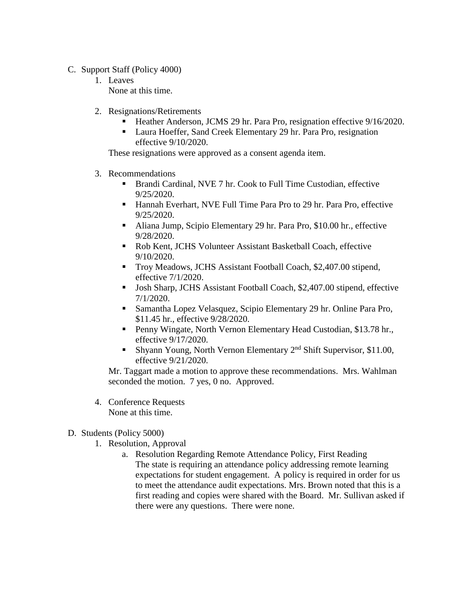- C. Support Staff (Policy 4000)
	- 1. Leaves None at this time.
	- 2. Resignations/Retirements
		- Heather Anderson, JCMS 29 hr. Para Pro, resignation effective 9/16/2020.
		- Laura Hoeffer, Sand Creek Elementary 29 hr. Para Pro, resignation effective 9/10/2020.

These resignations were approved as a consent agenda item.

- 3. Recommendations
	- Brandi Cardinal, NVE 7 hr. Cook to Full Time Custodian, effective 9/25/2020.
	- Hannah Everhart, NVE Full Time Para Pro to 29 hr. Para Pro, effective 9/25/2020.
	- Aliana Jump, Scipio Elementary 29 hr. Para Pro, \$10.00 hr., effective 9/28/2020.
	- Rob Kent, JCHS Volunteer Assistant Basketball Coach, effective 9/10/2020.
	- Troy Meadows, JCHS Assistant Football Coach, \$2,407.00 stipend, effective 7/1/2020.
	- Josh Sharp, JCHS Assistant Football Coach, \$2,407.00 stipend, effective 7/1/2020.
	- Samantha Lopez Velasquez, Scipio Elementary 29 hr. Online Para Pro, \$11.45 hr., effective 9/28/2020.
	- **Penny Wingate, North Vernon Elementary Head Custodian, \$13.78 hr.,** effective 9/17/2020.
	- Shyann Young, North Vernon Elementary 2nd Shift Supervisor, \$11.00, effective 9/21/2020.

Mr. Taggart made a motion to approve these recommendations. Mrs. Wahlman seconded the motion. 7 yes, 0 no. Approved.

- 4. Conference Requests None at this time.
- D. Students (Policy 5000)
	- 1. Resolution, Approval
		- a. Resolution Regarding Remote Attendance Policy, First Reading The state is requiring an attendance policy addressing remote learning expectations for student engagement. A policy is required in order for us to meet the attendance audit expectations. Mrs. Brown noted that this is a first reading and copies were shared with the Board. Mr. Sullivan asked if there were any questions. There were none.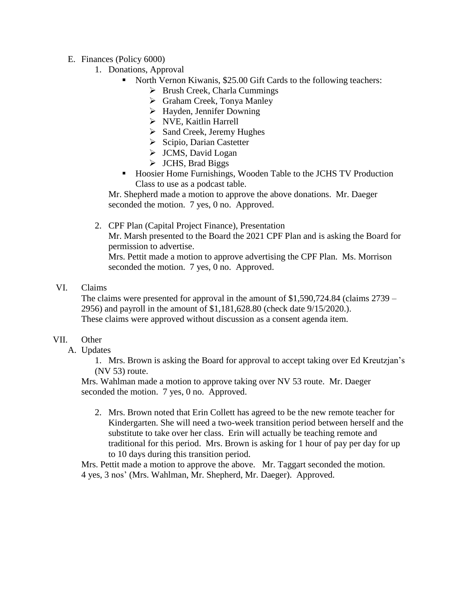- E. Finances (Policy 6000)
	- 1. Donations, Approval
		- North Vernon Kiwanis, \$25.00 Gift Cards to the following teachers:
			- $\triangleright$  Brush Creek, Charla Cummings
			- Graham Creek, Tonya Manley
			- $\triangleright$  Hayden, Jennifer Downing
			- NVE, Kaitlin Harrell
			- $\triangleright$  Sand Creek, Jeremy Hughes
			- $\triangleright$  Scipio, Darian Castetter
			- $\triangleright$  JCMS, David Logan
			- > JCHS, Brad Biggs
		- Hoosier Home Furnishings, Wooden Table to the JCHS TV Production Class to use as a podcast table.

Mr. Shepherd made a motion to approve the above donations. Mr. Daeger seconded the motion. 7 yes, 0 no. Approved.

2. CPF Plan (Capital Project Finance), Presentation

Mr. Marsh presented to the Board the 2021 CPF Plan and is asking the Board for permission to advertise.

Mrs. Pettit made a motion to approve advertising the CPF Plan. Ms. Morrison seconded the motion. 7 yes, 0 no. Approved.

VI. Claims

The claims were presented for approval in the amount of \$1,590,724.84 (claims 2739 – 2956) and payroll in the amount of \$1,181,628.80 (check date 9/15/2020.). These claims were approved without discussion as a consent agenda item.

#### VII. Other

A. Updates

1. Mrs. Brown is asking the Board for approval to accept taking over Ed Kreutzjan's (NV 53) route.

Mrs. Wahlman made a motion to approve taking over NV 53 route. Mr. Daeger seconded the motion. 7 yes, 0 no. Approved.

2. Mrs. Brown noted that Erin Collett has agreed to be the new remote teacher for Kindergarten. She will need a two-week transition period between herself and the substitute to take over her class. Erin will actually be teaching remote and traditional for this period. Mrs. Brown is asking for 1 hour of pay per day for up to 10 days during this transition period.

Mrs. Pettit made a motion to approve the above. Mr. Taggart seconded the motion. 4 yes, 3 nos' (Mrs. Wahlman, Mr. Shepherd, Mr. Daeger). Approved.